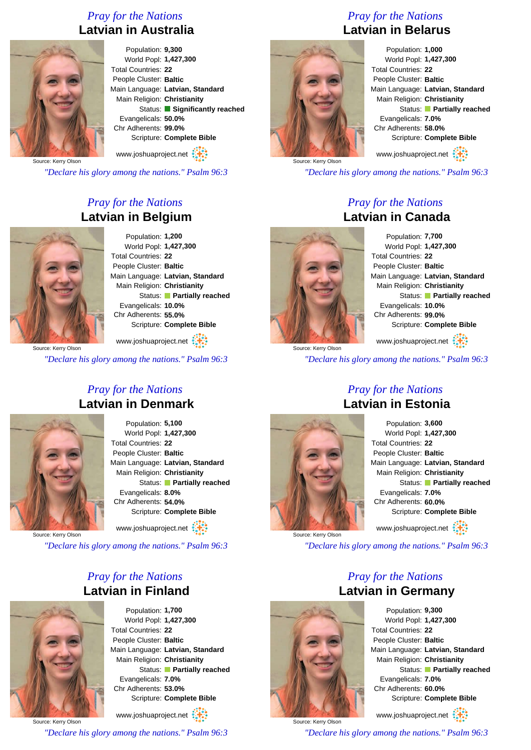# *Pray for the Nations* **Latvian in Australia**



Population: **9,300** World Popl: **1,427,300** Total Countries: **22** People Cluster: **Baltic** Main Language: **Latvian, Standard** Main Religion: **Christianity** Status: **Significantly reached** Evangelicals: **50.0%** Chr Adherents: **99.0%** Scripture: **Complete Bible** www.joshuaproject.net

Source: Kerry Olson

*"Declare his glory among the nations." Psalm 96:3*

# *Pray for the Nations* **Latvian in Belgium**



Population: **1,200** World Popl: **1,427,300** Total Countries: **22** People Cluster: **Baltic** Main Language: **Latvian, Standard** Main Religion: **Christianity** Status: **Partially reached** Evangelicals: **10.0%** Chr Adherents: **55.0%** Scripture: **Complete Bible**

www.joshuaproject.net :

*"Declare his glory among the nations." Psalm 96:3*

## *Pray for the Nations* **Latvian in Denmark**



Population: **5,100** World Popl: **1,427,300** Total Countries: **22** People Cluster: **Baltic** Main Language: **Latvian, Standard** Main Religion: **Christianity** Status: **Partially reached** Evangelicals: **8.0%** Chr Adherents: **54.0%** Scripture: **Complete Bible**

www.joshuaproject.net

Source: Kerry Olson

*"Declare his glory among the nations." Psalm 96:3*

## *Pray for the Nations* **Latvian in Finland**



Population: **1,700** World Popl: **1,427,300** Total Countries: **22** People Cluster: **Baltic** Main Language: **Latvian, Standard** Main Religion: **Christianity** Status: **Partially reached** Evangelicals: **7.0%** Chr Adherents: **53.0%** Scripture: **Complete Bible**

Source: Kerry Olson www.joshuaproject.net *"Declare his glory among the nations." Psalm 96:3*

# *Pray for the Nations* **Latvian in Belarus**



Population: **1,000** World Popl: **1,427,300** Total Countries: **22** People Cluster: **Baltic** Main Language: **Latvian, Standard** Main Religion: **Christianity** Status: **Partially reached** Evangelicals: **7.0%** Chr Adherents: **58.0%** Scripture: **Complete Bible** www.joshuaproject.net

Source: Kerry Olson

*"Declare his glory among the nations." Psalm 96:3*

## *Pray for the Nations* **Latvian in Canada**

Population: **7,700** World Popl: **1,427,300** Total Countries: **22** People Cluster: **Baltic** Main Language: **Latvian, Standard** Main Religion: **Christianity** Status: **Partially reached** Evangelicals: **10.0%** Chr Adherents: **99.0%** Scripture: **Complete Bible** www.joshuaproject.net

*"Declare his glory among the nations." Psalm 96:3*



## *Pray for the Nations* **Latvian in Estonia**

Population: **3,600** World Popl: **1,427,300** Total Countries: **22** People Cluster: **Baltic** Main Language: **Latvian, Standard** Main Religion: **Christianity** Status: **Partially reached** Evangelicals: **7.0%** Chr Adherents: **60.0%** Scripture: **Complete Bible** www.joshuaproject.net

*"Declare his glory among the nations." Psalm 96:3*

## *Pray for the Nations* **Latvian in Germany**



Source: Kerry Olson

Population: **9,300** World Popl: **1,427,300** Total Countries: **22** People Cluster: **Baltic** Main Language: **Latvian, Standard** Main Religion: **Christianity** Status: **Partially reached** Evangelicals: **7.0%** Chr Adherents: **60.0%** Scripture: **Complete Bible** www.joshuaproject.net

*"Declare his glory among the nations." Psalm 96:3*



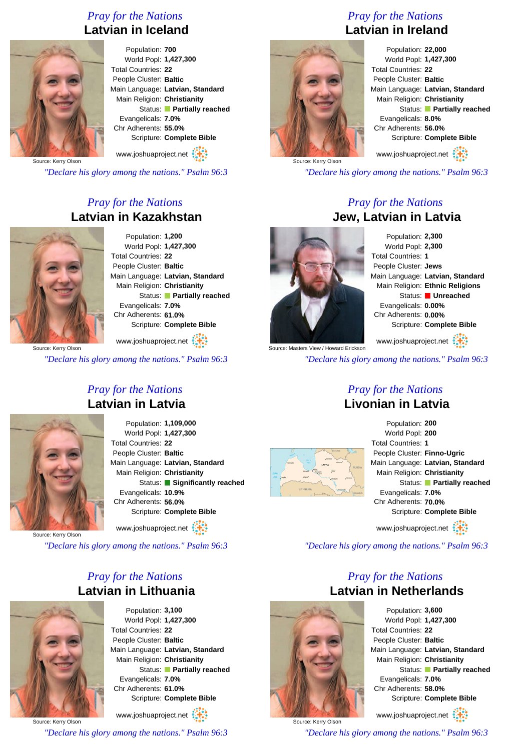# *Pray for the Nations* **Latvian in Iceland**



Population: **700** World Popl: **1,427,300** Total Countries: **22** People Cluster: **Baltic** Main Language: **Latvian, Standard** Main Religion: **Christianity** Status: **Partially reached** Evangelicals: **7.0%** Chr Adherents: **55.0%** Scripture: **Complete Bible**

www.joshuaproject.net

Source: Kerry Olson

*"Declare his glory among the nations." Psalm 96:3*

# *Pray for the Nations* **Latvian in Kazakhstan**



Population: **1,200** World Popl: **1,427,300** Total Countries: **22** People Cluster: **Baltic** Main Language: **Latvian, Standard** Main Religion: **Christianity** Status: **Partially reached** Evangelicals: **7.0%** Chr Adherents: **61.0%** Scripture: **Complete Bible**

www.joshuaproject.net :

*"Declare his glory among the nations." Psalm 96:3*

## *Pray for the Nations* **Latvian in Latvia**

www.joshuaproject.net :

Population: **1,109,000** World Popl: **1,427,300** Total Countries: **22** People Cluster: **Baltic** Main Language: **Latvian, Standard** Main Religion: **Christianity** Status: **Significantly reached** Evangelicals: **10.9%** Chr Adherents: **56.0%** Scripture: **Complete Bible**

Source: Kerry Olson

*"Declare his glory among the nations." Psalm 96:3*

# *Pray for the Nations* **Latvian in Lithuania**



Population: **3,100** World Popl: **1,427,300** Total Countries: **22** People Cluster: **Baltic** Main Language: **Latvian, Standard** Main Religion: **Christianity** Status: **Partially reached** Evangelicals: **7.0%** Chr Adherents: **61.0%** Scripture: **Complete Bible**

Source: Kerry Olson www.joshuaproject.net *"Declare his glory among the nations." Psalm 96:3*

# *Pray for the Nations* **Latvian in Ireland**



Population: **22,000** World Popl: **1,427,300** Total Countries: **22** People Cluster: **Baltic** Main Language: **Latvian, Standard** Main Religion: **Christianity** Status: **Partially reached** Evangelicals: **8.0%** Chr Adherents: **56.0%** Scripture: **Complete Bible** www.joshuaproject.net

Source: Kerry Olson

*"Declare his glory among the nations." Psalm 96:3*

## *Pray for the Nations* **Jew, Latvian in Latvia**

Population: **2,300** World Popl: **2,300** Total Countries: **1** People Cluster: **Jews** Main Language: **Latvian, Standard** Main Religion: **Ethnic Religions** Status: **Unreached** Evangelicals: **0.00%** Chr Adherents: **0.00%** Scripture: **Complete Bible**

www.joshuaproject.net

*"Declare his glory among the nations." Psalm 96:3*

## *Pray for the Nations* **Livonian in Latvia**



Source: Kerry Olson

Population: **200** World Popl: **200** Total Countries: **1** People Cluster: **Finno-Ugric** Main Language: **Latvian, Standard** Main Religion: **Christianity** Status: **Partially reached** Evangelicals: **7.0%** Chr Adherents: **70.0%** Scripture: **Complete Bible** www.joshuaproject.net

*"Declare his glory among the nations." Psalm 96:3*

## *Pray for the Nations* **Latvian in Netherlands**



www.joshuaproject.net

*"Declare his glory among the nations." Psalm 96:3*